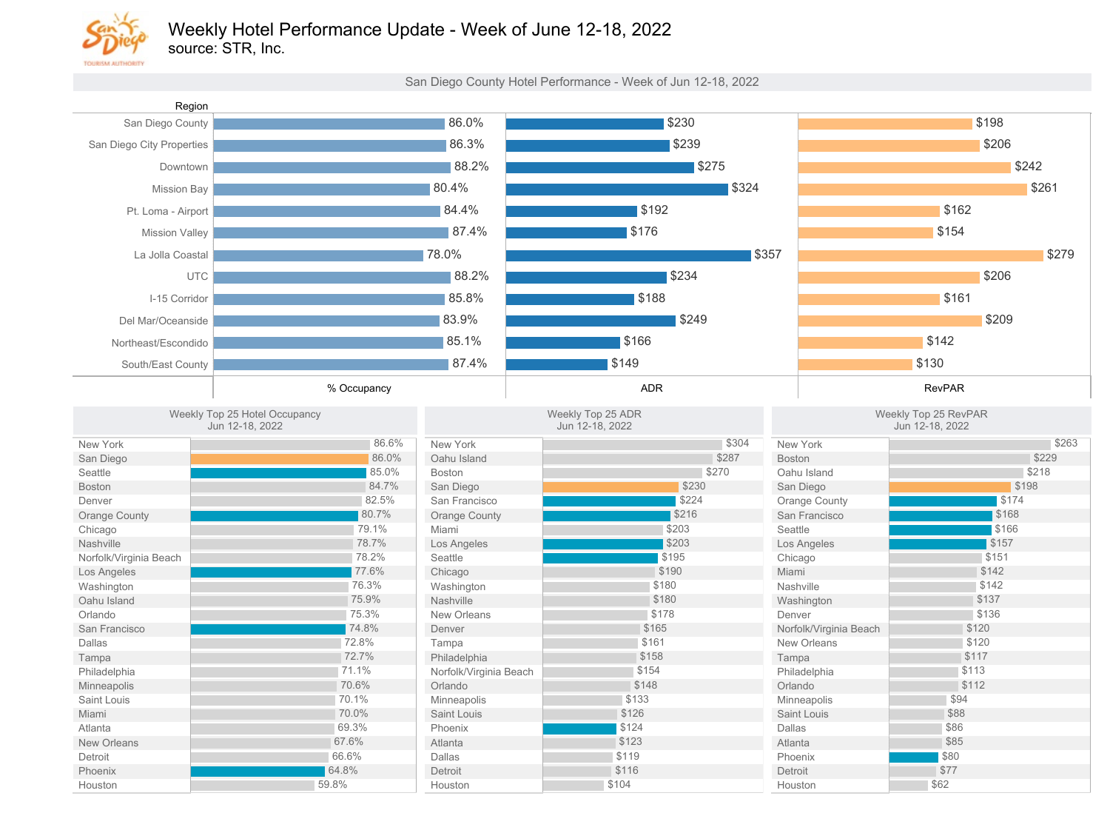

source: STR, Inc.

San Diego County Hotel Performance - Week of Jun 12-18, 2022

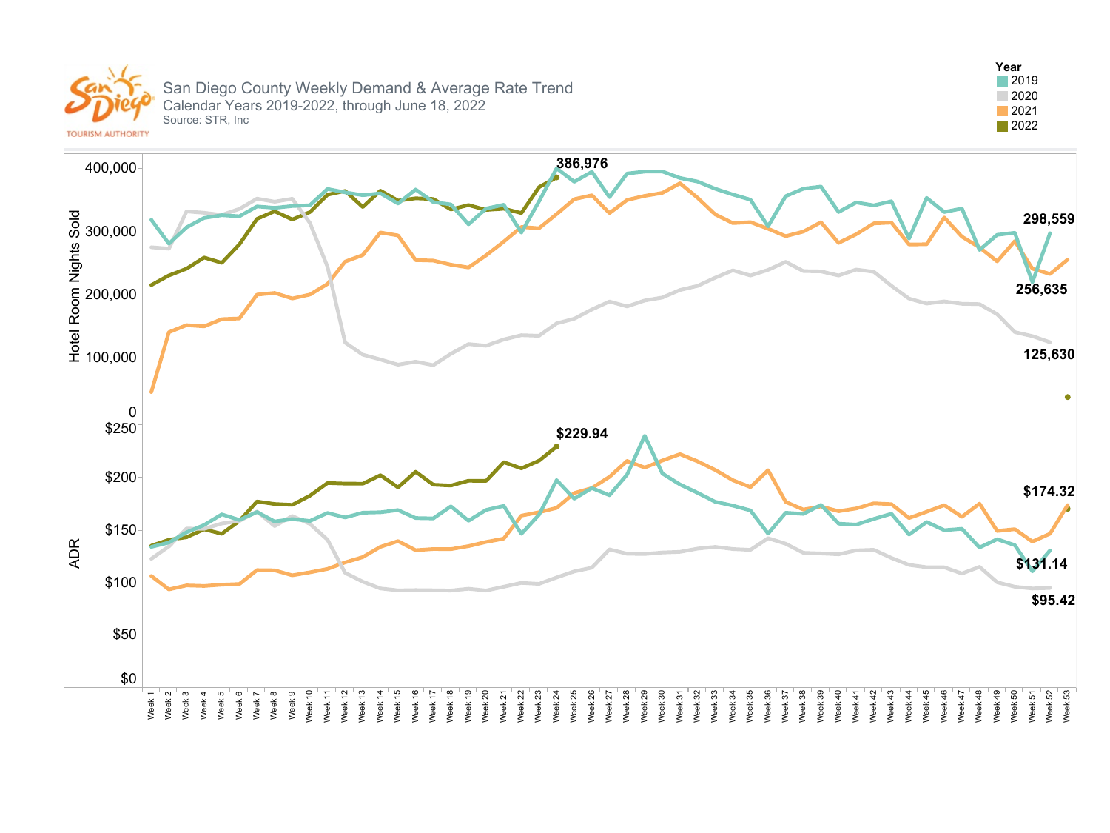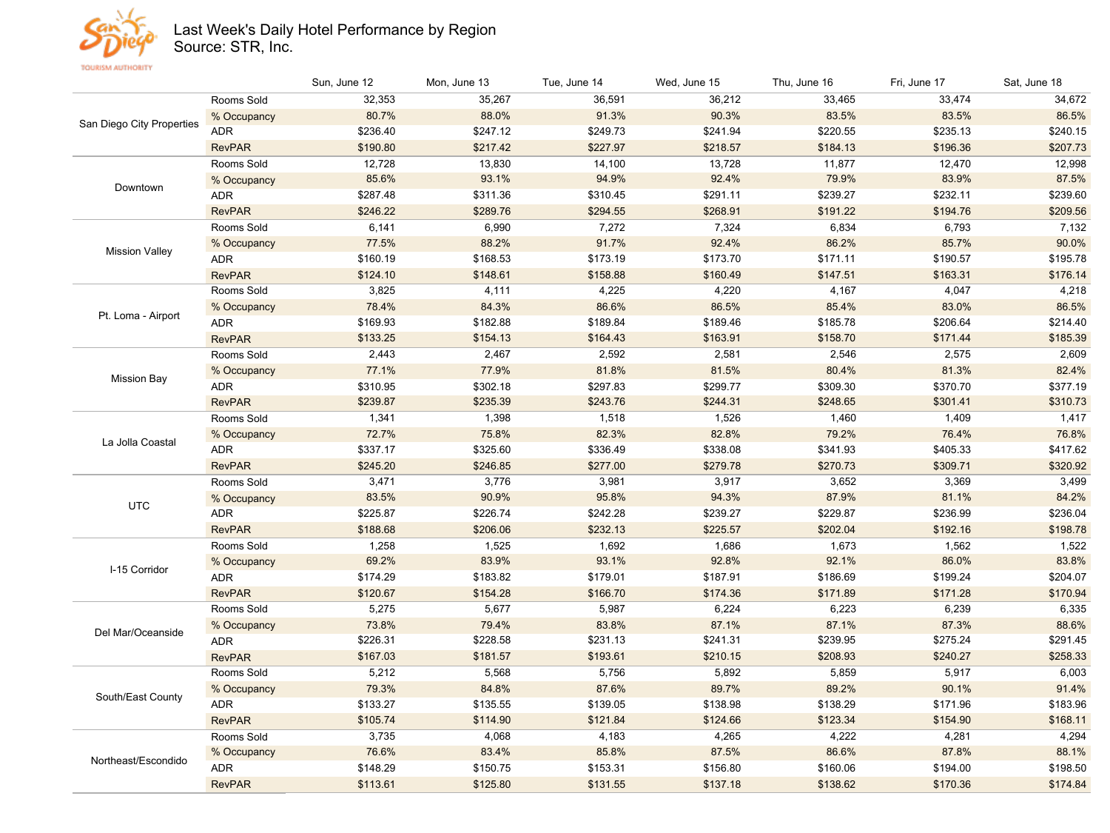

## Last Week's Daily Hotel Performance by Region

Source: STR, Inc.

|                           |               | Sun, June 12 | Mon, June 13 | Tue, June 14 | Wed, June 15 | Thu, June 16 | Fri, June 17 | Sat, June 18 |
|---------------------------|---------------|--------------|--------------|--------------|--------------|--------------|--------------|--------------|
|                           | Rooms Sold    | 32,353       | 35,267       | 36,591       | 36,212       | 33,465       | 33,474       | 34,672       |
| San Diego City Properties | % Occupancy   | 80.7%        | 88.0%        | 91.3%        | 90.3%        | 83.5%        | 83.5%        | 86.5%        |
|                           | <b>ADR</b>    | \$236.40     | \$247.12     | \$249.73     | \$241.94     | \$220.55     | \$235.13     | \$240.15     |
|                           | <b>RevPAR</b> | \$190.80     | \$217.42     | \$227.97     | \$218.57     | \$184.13     | \$196.36     | \$207.73     |
|                           | Rooms Sold    | 12,728       | 13,830       | 14,100       | 13,728       | 11,877       | 12,470       | 12,998       |
|                           | % Occupancy   | 85.6%        | 93.1%        | 94.9%        | 92.4%        | 79.9%        | 83.9%        | 87.5%        |
| Downtown                  | <b>ADR</b>    | \$287.48     | \$311.36     | \$310.45     | \$291.11     | \$239.27     | \$232.11     | \$239.60     |
|                           | <b>RevPAR</b> | \$246.22     | \$289.76     | \$294.55     | \$268.91     | \$191.22     | \$194.76     | \$209.56     |
|                           | Rooms Sold    | 6,141        | 6,990        | 7,272        | 7,324        | 6,834        | 6,793        | 7,132        |
|                           | % Occupancy   | 77.5%        | 88.2%        | 91.7%        | 92.4%        | 86.2%        | 85.7%        | 90.0%        |
| <b>Mission Valley</b>     | <b>ADR</b>    | \$160.19     | \$168.53     | \$173.19     | \$173.70     | \$171.11     | \$190.57     | \$195.78     |
|                           | <b>RevPAR</b> | \$124.10     | \$148.61     | \$158.88     | \$160.49     | \$147.51     | \$163.31     | \$176.14     |
|                           | Rooms Sold    | 3,825        | 4,111        | 4,225        | 4,220        | 4,167        | 4,047        | 4,218        |
|                           | % Occupancy   | 78.4%        | 84.3%        | 86.6%        | 86.5%        | 85.4%        | 83.0%        | 86.5%        |
| Pt. Loma - Airport        | <b>ADR</b>    | \$169.93     | \$182.88     | \$189.84     | \$189.46     | \$185.78     | \$206.64     | \$214.40     |
|                           | <b>RevPAR</b> | \$133.25     | \$154.13     | \$164.43     | \$163.91     | \$158.70     | \$171.44     | \$185.39     |
|                           | Rooms Sold    | 2,443        | 2,467        | 2,592        | 2,581        | 2,546        | 2,575        | 2,609        |
|                           | % Occupancy   | 77.1%        | 77.9%        | 81.8%        | 81.5%        | 80.4%        | 81.3%        | 82.4%        |
| <b>Mission Bay</b>        | <b>ADR</b>    | \$310.95     | \$302.18     | \$297.83     | \$299.77     | \$309.30     | \$370.70     | \$377.19     |
|                           | <b>RevPAR</b> | \$239.87     | \$235.39     | \$243.76     | \$244.31     | \$248.65     | \$301.41     | \$310.73     |
|                           | Rooms Sold    | 1,341        | 1,398        | 1,518        | 1,526        | 1,460        | 1,409        | 1,417        |
|                           | % Occupancy   | 72.7%        | 75.8%        | 82.3%        | 82.8%        | 79.2%        | 76.4%        | 76.8%        |
| La Jolla Coastal          | ADR           | \$337.17     | \$325.60     | \$336.49     | \$338.08     | \$341.93     | \$405.33     | \$417.62     |
|                           | <b>RevPAR</b> | \$245.20     | \$246.85     | \$277.00     | \$279.78     | \$270.73     | \$309.71     | \$320.92     |
|                           | Rooms Sold    | 3,471        | 3,776        | 3,981        | 3,917        | 3,652        | 3,369        | 3,499        |
| <b>UTC</b>                | % Occupancy   | 83.5%        | 90.9%        | 95.8%        | 94.3%        | 87.9%        | 81.1%        | 84.2%        |
|                           | <b>ADR</b>    | \$225.87     | \$226.74     | \$242.28     | \$239.27     | \$229.87     | \$236.99     | \$236.04     |
|                           | <b>RevPAR</b> | \$188.68     | \$206.06     | \$232.13     | \$225.57     | \$202.04     | \$192.16     | \$198.78     |
|                           | Rooms Sold    | 1,258        | 1,525        | 1,692        | 1,686        | 1,673        | 1,562        | 1,522        |
| I-15 Corridor             | % Occupancy   | 69.2%        | 83.9%        | 93.1%        | 92.8%        | 92.1%        | 86.0%        | 83.8%        |
|                           | <b>ADR</b>    | \$174.29     | \$183.82     | \$179.01     | \$187.91     | \$186.69     | \$199.24     | \$204.07     |
|                           | <b>RevPAR</b> | \$120.67     | \$154.28     | \$166.70     | \$174.36     | \$171.89     | \$171.28     | \$170.94     |
|                           | Rooms Sold    | 5,275        | 5,677        | 5,987        | 6,224        | 6,223        | 6,239        | 6,335        |
| Del Mar/Oceanside         | % Occupancy   | 73.8%        | 79.4%        | 83.8%        | 87.1%        | 87.1%        | 87.3%        | 88.6%        |
|                           | ADR           | \$226.31     | \$228.58     | \$231.13     | \$241.31     | \$239.95     | \$275.24     | \$291.45     |
|                           | <b>RevPAR</b> | \$167.03     | \$181.57     | \$193.61     | \$210.15     | \$208.93     | \$240.27     | \$258.33     |
| South/East County         | Rooms Sold    | 5,212        | 5,568        | 5,756        | 5,892        | 5,859        | 5,917        | 6,003        |
|                           | % Occupancy   | 79.3%        | 84.8%        | 87.6%        | 89.7%        | 89.2%        | 90.1%        | 91.4%        |
|                           | <b>ADR</b>    | \$133.27     | \$135.55     | \$139.05     | \$138.98     | \$138.29     | \$171.96     | \$183.96     |
|                           | <b>RevPAR</b> | \$105.74     | \$114.90     | \$121.84     | \$124.66     | \$123.34     | \$154.90     | \$168.11     |
|                           | Rooms Sold    | 3,735        | 4,068        | 4,183        | 4,265        | 4,222        | 4,281        | 4,294        |
| Northeast/Escondido       | % Occupancy   | 76.6%        | 83.4%        | 85.8%        | 87.5%        | 86.6%        | 87.8%        | 88.1%        |
|                           | <b>ADR</b>    | \$148.29     | \$150.75     | \$153.31     | \$156.80     | \$160.06     | \$194.00     | \$198.50     |
|                           | <b>RevPAR</b> | \$113.61     | \$125.80     | \$131.55     | \$137.18     | \$138.62     | \$170.36     | \$174.84     |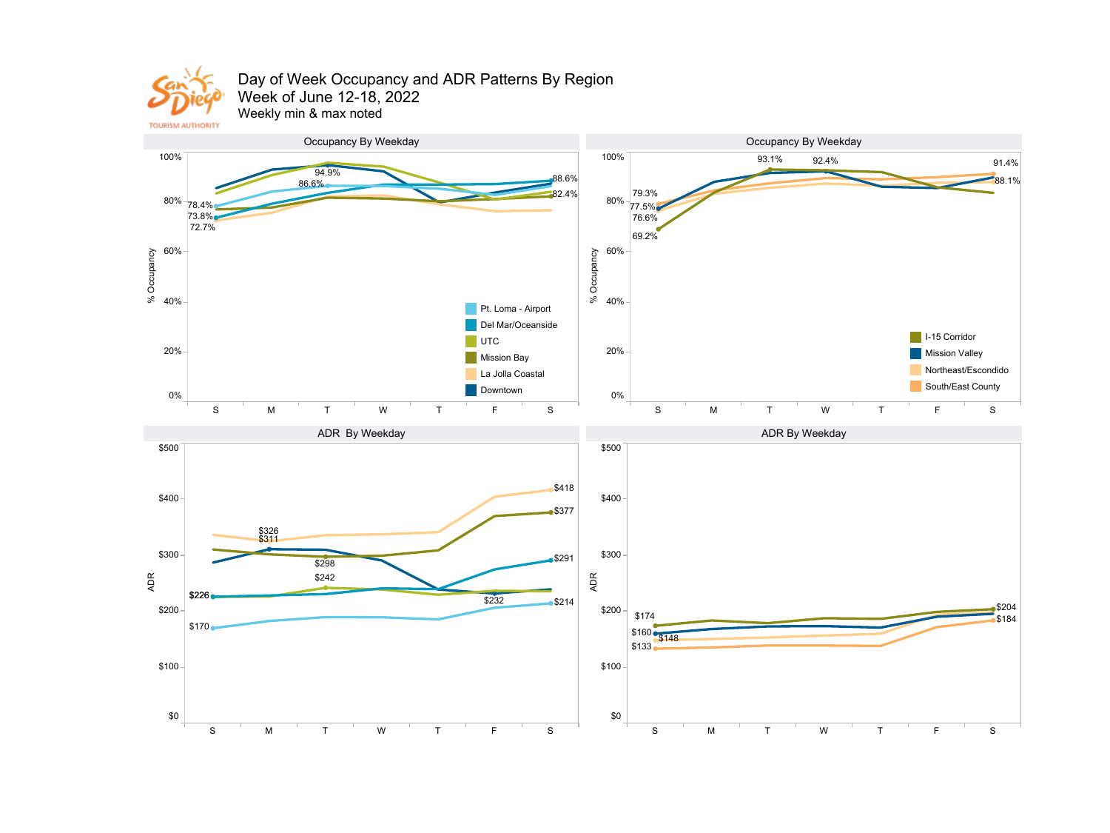

## Day of Week Occupancy and ADR Patterns By Region Week of June 12-18, 2022

Weekly min & max noted

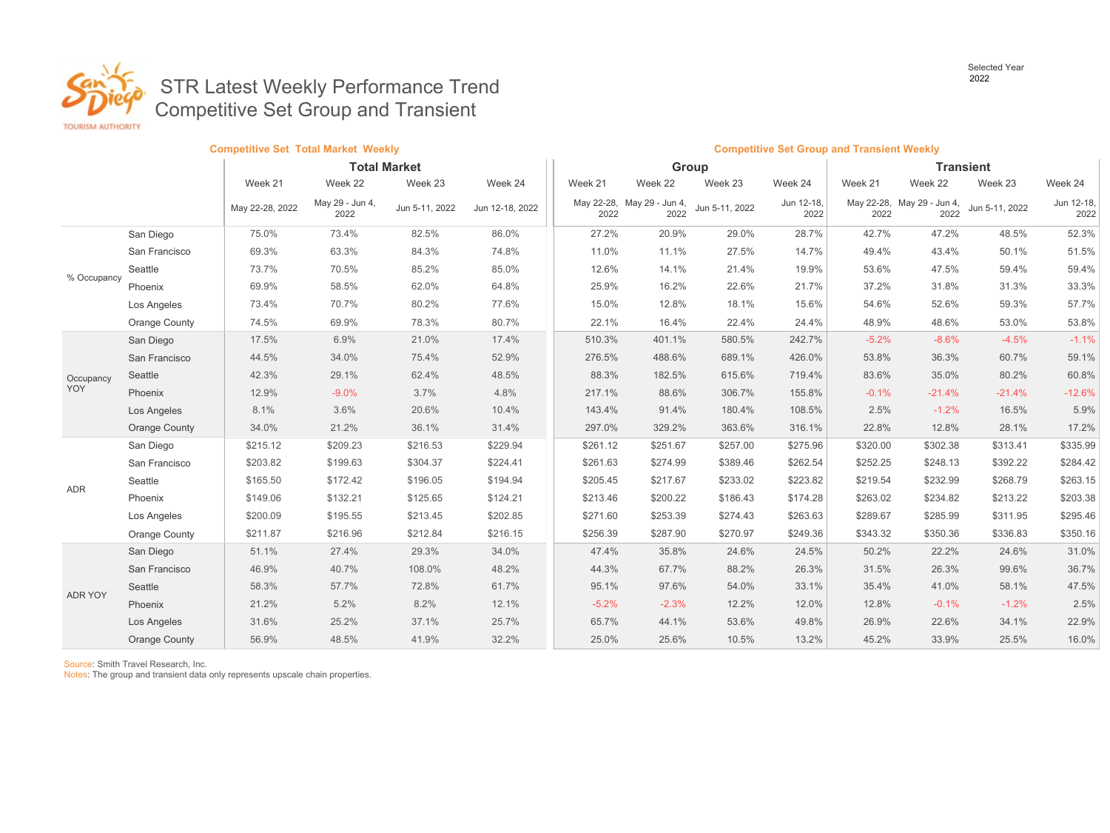Selected Year<br>2022



## **2022** 2022 STR Latest Weekly Performance Trend Competitive Set Group and Transient

|             |               | <b>Competitive Set Total Market Weekly</b> |                         |                |                 |          | <b>Competitive Set Group and Transient Weekly</b> |                |                    |                  |                                    |                |                    |
|-------------|---------------|--------------------------------------------|-------------------------|----------------|-----------------|----------|---------------------------------------------------|----------------|--------------------|------------------|------------------------------------|----------------|--------------------|
|             |               | <b>Total Market</b>                        |                         |                |                 | Group    |                                                   |                |                    | <b>Transient</b> |                                    |                |                    |
|             |               | Week 21                                    | Week 22                 | Week 23        | Week 24         | Week 21  | Week 22                                           | Week 23        | Week 24            | Week 21          | Week 22                            | Week 23        | Week 24            |
|             |               | May 22-28, 2022                            | May 29 - Jun 4,<br>2022 | Jun 5-11, 2022 | Jun 12-18, 2022 | 2022     | May 22-28, May 29 - Jun 4,<br>2022                | Jun 5-11, 2022 | Jun 12-18,<br>2022 | 2022             | May 22-28, May 29 - Jun 4,<br>2022 | Jun 5-11, 2022 | Jun 12-18,<br>2022 |
|             | San Diego     | 75.0%                                      | 73.4%                   | 82.5%          | 86.0%           | 27.2%    | 20.9%                                             | 29.0%          | 28.7%              | 42.7%            | 47.2%                              | 48.5%          | 52.3%              |
|             | San Francisco | 69.3%                                      | 63.3%                   | 84.3%          | 74.8%           | 11.0%    | 11.1%                                             | 27.5%          | 14.7%              | 49.4%            | 43.4%                              | 50.1%          | 51.5%              |
|             | Seattle       | 73.7%                                      | 70.5%                   | 85.2%          | 85.0%           | 12.6%    | 14.1%                                             | 21.4%          | 19.9%              | 53.6%            | 47.5%                              | 59.4%          | 59.4%              |
| % Occupancy | Phoenix       | 69.9%                                      | 58.5%                   | 62.0%          | 64.8%           | 25.9%    | 16.2%                                             | 22.6%          | 21.7%              | 37.2%            | 31.8%                              | 31.3%          | 33.3%              |
|             | Los Angeles   | 73.4%                                      | 70.7%                   | 80.2%          | 77.6%           | 15.0%    | 12.8%                                             | 18.1%          | 15.6%              | 54.6%            | 52.6%                              | 59.3%          | 57.7%              |
|             | Orange County | 74.5%                                      | 69.9%                   | 78.3%          | 80.7%           | 22.1%    | 16.4%                                             | 22.4%          | 24.4%              | 48.9%            | 48.6%                              | 53.0%          | 53.8%              |
|             | San Diego     | 17.5%                                      | 6.9%                    | 21.0%          | 17.4%           | 510.3%   | 401.1%                                            | 580.5%         | 242.7%             | $-5.2%$          | $-8.6%$                            | $-4.5%$        | $-1.1%$            |
| Occupancy   | San Francisco | 44.5%                                      | 34.0%                   | 75.4%          | 52.9%           | 276.5%   | 488.6%                                            | 689.1%         | 426.0%             | 53.8%            | 36.3%                              | 60.7%          | 59.1%              |
|             | Seattle       | 42.3%                                      | 29.1%                   | 62.4%          | 48.5%           | 88.3%    | 182.5%                                            | 615.6%         | 719.4%             | 83.6%            | 35.0%                              | 80.2%          | 60.8%              |
| <b>YOY</b>  | Phoenix       | 12.9%                                      | $-9.0%$                 | 3.7%           | 4.8%            | 217.1%   | 88.6%                                             | 306.7%         | 155.8%             | $-0.1%$          | $-21.4%$                           | $-21.4%$       | $-12.6%$           |
|             | Los Angeles   | 8.1%                                       | 3.6%                    | 20.6%          | 10.4%           | 143.4%   | 91.4%                                             | 180.4%         | 108.5%             | 2.5%             | $-1.2%$                            | 16.5%          | 5.9%               |
|             | Orange County | 34.0%                                      | 21.2%                   | 36.1%          | 31.4%           | 297.0%   | 329.2%                                            | 363.6%         | 316.1%             | 22.8%            | 12.8%                              | 28.1%          | 17.2%              |
|             | San Diego     | \$215.12                                   | \$209.23                | \$216.53       | \$229.94        | \$261.12 | \$251.67                                          | \$257.00       | \$275.96           | \$320.00         | \$302.38                           | \$313.41       | \$335.99           |
|             | San Francisco | \$203.82                                   | \$199.63                | \$304.37       | \$224.41        | \$261.63 | \$274.99                                          | \$389.46       | \$262.54           | \$252.25         | \$248.13                           | \$392.22       | \$284.42           |
| ADR         | Seattle       | \$165.50                                   | \$172.42                | \$196.05       | \$194.94        | \$205.45 | \$217.67                                          | \$233.02       | \$223.82           | \$219.54         | \$232.99                           | \$268.79       | \$263.15           |
|             | Phoenix       | \$149.06                                   | \$132.21                | \$125.65       | \$124.21        | \$213.46 | \$200.22                                          | \$186.43       | \$174.28           | \$263.02         | \$234.82                           | \$213.22       | \$203.38           |
|             | Los Angeles   | \$200.09                                   | \$195.55                | \$213.45       | \$202.85        | \$271.60 | \$253.39                                          | \$274.43       | \$263.63           | \$289.67         | \$285.99                           | \$311.95       | \$295.46           |
|             | Orange County | \$211.87                                   | \$216.96                | \$212.84       | \$216.15        | \$256.39 | \$287.90                                          | \$270.97       | \$249.36           | \$343.32         | \$350.36                           | \$336.83       | \$350.16           |
| ADR YOY     | San Diego     | 51.1%                                      | 27.4%                   | 29.3%          | 34.0%           | 47.4%    | 35.8%                                             | 24.6%          | 24.5%              | 50.2%            | 22.2%                              | 24.6%          | 31.0%              |
|             | San Francisco | 46.9%                                      | 40.7%                   | 108.0%         | 48.2%           | 44.3%    | 67.7%                                             | 88.2%          | 26.3%              | 31.5%            | 26.3%                              | 99.6%          | 36.7%              |
|             | Seattle       | 58.3%                                      | 57.7%                   | 72.8%          | 61.7%           | 95.1%    | 97.6%                                             | 54.0%          | 33.1%              | 35.4%            | 41.0%                              | 58.1%          | 47.5%              |
|             | Phoenix       | 21.2%                                      | 5.2%                    | 8.2%           | 12.1%           | $-5.2%$  | $-2.3%$                                           | 12.2%          | 12.0%              | 12.8%            | $-0.1%$                            | $-1.2%$        | 2.5%               |
|             | Los Angeles   | 31.6%                                      | 25.2%                   | 37.1%          | 25.7%           | 65.7%    | 44.1%                                             | 53.6%          | 49.8%              | 26.9%            | 22.6%                              | 34.1%          | 22.9%              |
|             | Orange County | 56.9%                                      | 48.5%                   | 41.9%          | 32.2%           | 25.0%    | 25.6%                                             | 10.5%          | 13.2%              | 45.2%            | 33.9%                              | 25.5%          | 16.0%              |

Source: Smith Travel Research, Inc.

Notes: The group and transient data only represents upscale chain properties.